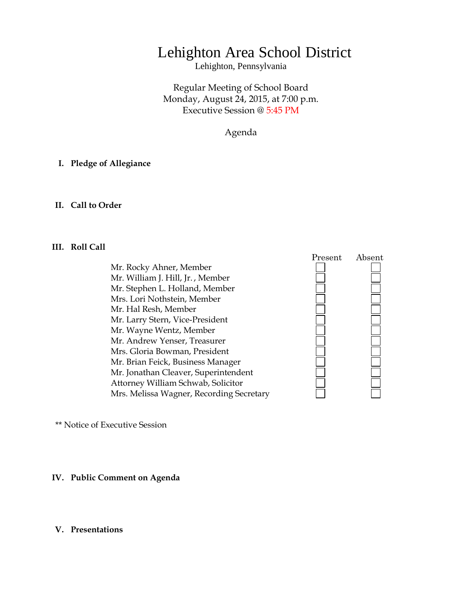# Lehighton Area School District

Lehighton, Pennsylvania

Regular Meeting of School Board Monday, August 24, 2015, at 7:00 p.m. Executive Session @ 5:45 PM

Agenda

## **I. Pledge of Allegiance**

#### **II. Call to Order**

## **III. Roll Call**

Mr. Rocky Ahner, Member Mr. William J. Hill, Jr. , Member Mr. Stephen L. Holland, Member Mrs. Lori Nothstein, Member Mr. Hal Resh, Member Mr. Larry Stern, Vice-President Mr. Wayne Wentz, Member Mr. Andrew Yenser, Treasurer Mrs. Gloria Bowman, President Mr. Brian Feick, Business Manager Mr. Jonathan Cleaver, Superintendent Attorney William Schwab, Solicitor Mrs. Melissa Wagner, Recording Secretary



\*\* Notice of Executive Session

## **IV. Public Comment on Agenda**

#### **V. Presentations**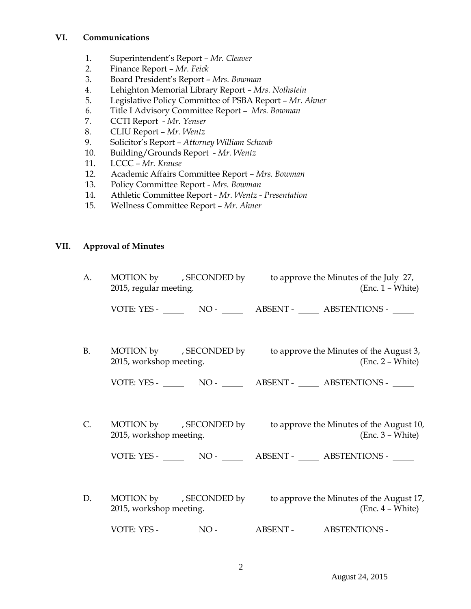## **VI. Communications**

- 1. Superintendent's Report *Mr. Cleaver*
- 2. Finance Report *Mr. Feick*
- 3. Board President's Report *Mrs. Bowman*
- 4. Lehighton Memorial Library Report *Mrs. Nothstein*
- 5. Legislative Policy Committee of PSBA Report *Mr. Ahner*
- 6. Title I Advisory Committee Report *Mrs. Bowman*
- 7. CCTI Report *Mr. Yenser*
- 8. CLIU Report *Mr. Wentz*
- 9. Solicitor's Report *Attorney William Schwab*
- 10. Building/Grounds Report *Mr. Wentz*
- 11. LCCC *– Mr. Krause*
- 12. Academic Affairs Committee Report *Mrs. Bowman*
- 13. Policy Committee Report *Mrs. Bowman*
- 14. Athletic Committee Report *Mr. Wentz - Presentation*
- 15. Wellness Committee Report *Mr. Ahner*

## **VII. Approval of Minutes**

| A.        | 2015, regular meeting.  | MOTION by , SECONDED by to approve the Minutes of the July 27,<br>$(Enc. 1 - White)$   |
|-----------|-------------------------|----------------------------------------------------------------------------------------|
|           |                         |                                                                                        |
| <b>B.</b> | 2015, workshop meeting. | MOTION by , SECONDED by to approve the Minutes of the August 3,<br>$(Enc. 2 - White)$  |
|           |                         |                                                                                        |
| C.        | 2015, workshop meeting. | MOTION by , SECONDED by to approve the Minutes of the August 10,<br>$(Enc. 3 - White)$ |
|           |                         |                                                                                        |
| D.        | 2015, workshop meeting. | MOTION by , SECONDED by to approve the Minutes of the August 17,<br>$(Enc. 4 - White)$ |
|           |                         |                                                                                        |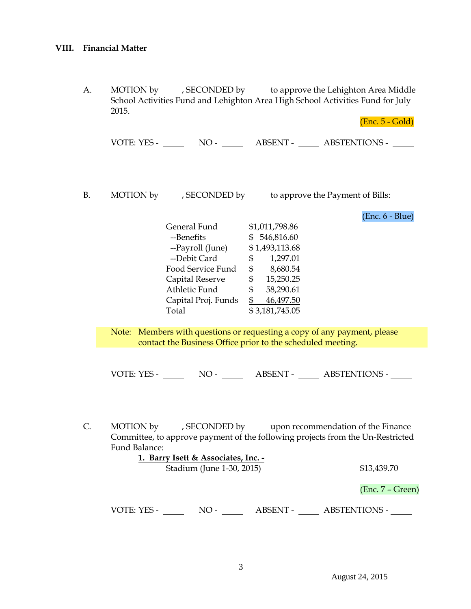A. MOTION by , SECONDED by to approve the Lehighton Area Middle School Activities Fund and Lehighton Area High School Activities Fund for July 2015.

(Enc. 5 - Gold)

VOTE: YES - NO - NO - ABSENT - ABSTENTIONS -

B. MOTION by , SECONDED by to approve the Payment of Bills:

(Enc. 6 - Blue)

| General Fund        | \$1,011,798.86  |  |
|---------------------|-----------------|--|
| --Benefits          | 546,816.60<br>S |  |
| --Payroll (June)    | \$1,493,113.68  |  |
| --Debit Card        | 1,297.01<br>\$  |  |
| Food Service Fund   | 8,680.54<br>\$  |  |
| Capital Reserve     | 15,250.25<br>\$ |  |
| Athletic Fund       | 58,290.61<br>\$ |  |
| Capital Proj. Funds | 46,497.50<br>\$ |  |
| Total               | \$3,181,745.05  |  |
|                     |                 |  |

Note: Members with questions or requesting a copy of any payment, please contact the Business Office prior to the scheduled meeting.

VOTE: YES - NO - NO - ABSENT - ABSTENTIONS -

C. MOTION by , SECONDED by upon recommendation of the Finance Committee, to approve payment of the following projects from the Un-Restricted Fund Balance:

> **1. Barry Isett & Associates, Inc. -** Stadium (June 1-30, 2015) \$13,439.70

(Enc. 7 – Green)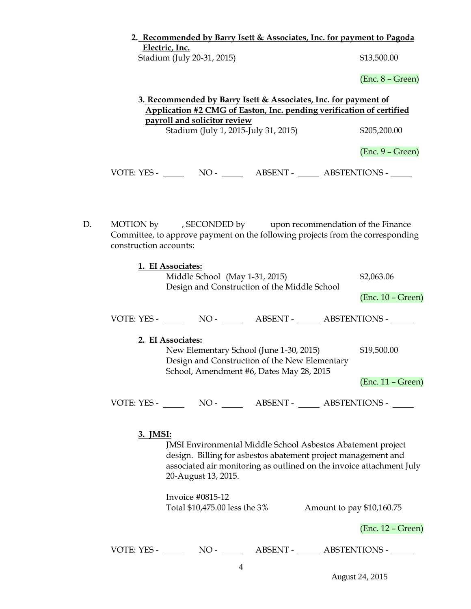|                            | 2. Recommended by Barry Isett & Associates, Inc. for payment to Pagoda |
|----------------------------|------------------------------------------------------------------------|
| Electric. Inc.             |                                                                        |
| Stadium (July 20-31, 2015) | \$13,500.00                                                            |

(Enc. 8 – Green)

|    | 3. Recommended by Barry Isett & Associates, Inc. for payment of<br>Application #2 CMG of Easton, Inc. pending verification of certified |                                                                                                                                                                                                                                                                                  |  |  |                                                  |  |
|----|-----------------------------------------------------------------------------------------------------------------------------------------|----------------------------------------------------------------------------------------------------------------------------------------------------------------------------------------------------------------------------------------------------------------------------------|--|--|--------------------------------------------------|--|
|    | payroll and solicitor review                                                                                                            |                                                                                                                                                                                                                                                                                  |  |  |                                                  |  |
|    |                                                                                                                                         | \$205,200.00                                                                                                                                                                                                                                                                     |  |  |                                                  |  |
|    |                                                                                                                                         |                                                                                                                                                                                                                                                                                  |  |  | $(Enc. 9 - Green)$                               |  |
|    |                                                                                                                                         |                                                                                                                                                                                                                                                                                  |  |  |                                                  |  |
| D. | construction accounts:                                                                                                                  | MOTION by , SECONDED by upon recommendation of the Finance<br>Committee, to approve payment on the following projects from the corresponding                                                                                                                                     |  |  |                                                  |  |
|    |                                                                                                                                         | 1. EI Associates:<br>Middle School (May 1-31, 2015)<br>Design and Construction of the Middle School                                                                                                                                                                              |  |  | \$2,063.06                                       |  |
|    |                                                                                                                                         |                                                                                                                                                                                                                                                                                  |  |  | $(Enc. 10 - Green)$                              |  |
|    |                                                                                                                                         | VOTE: YES - NO - ABSENT - ABSTENTIONS -                                                                                                                                                                                                                                          |  |  |                                                  |  |
|    |                                                                                                                                         | 2. EI Associates:<br>New Elementary School (June 1-30, 2015)<br>Design and Construction of the New Elementary<br>School, Amendment #6, Dates May 28, 2015                                                                                                                        |  |  | \$19,500.00<br>$(Enc. 11 - Green)$               |  |
|    |                                                                                                                                         | VOTE: YES - NO - NO - ABSENT - ABSTENTIONS -                                                                                                                                                                                                                                     |  |  |                                                  |  |
|    | 3. JMSI:                                                                                                                                | JMSI Environmental Middle School Asbestos Abatement project<br>design. Billing for asbestos abatement project management and<br>associated air monitoring as outlined on the invoice attachment July<br>20-August 13, 2015.<br>Invoice #0815-12<br>Total \$10,475.00 less the 3% |  |  | Amount to pay \$10,160.75<br>$(Enc. 12 - Green)$ |  |
|    |                                                                                                                                         | 4                                                                                                                                                                                                                                                                                |  |  |                                                  |  |

August 24, 2015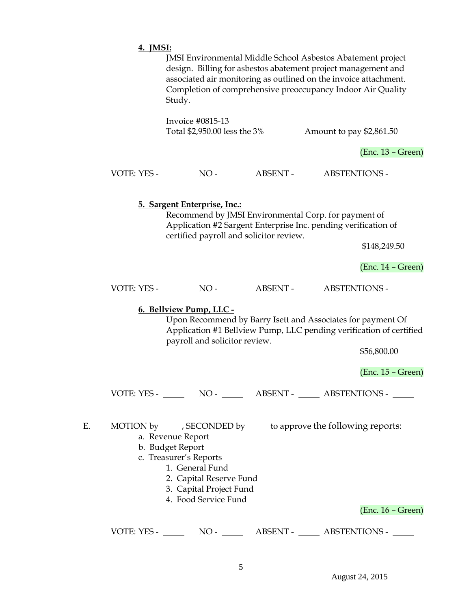|    | 4. JMSI:                                                                                                                                                                                                                                                                  |
|----|---------------------------------------------------------------------------------------------------------------------------------------------------------------------------------------------------------------------------------------------------------------------------|
|    | JMSI Environmental Middle School Asbestos Abatement project<br>design. Billing for asbestos abatement project management and<br>associated air monitoring as outlined on the invoice attachment.<br>Completion of comprehensive preoccupancy Indoor Air Quality<br>Study. |
|    | Invoice #0815-13<br>Total \$2,950.00 less the 3%<br>Amount to pay \$2,861.50                                                                                                                                                                                              |
|    | $(Enc. 13 - Green)$                                                                                                                                                                                                                                                       |
|    |                                                                                                                                                                                                                                                                           |
|    | 5. Sargent Enterprise, Inc.:<br>Recommend by JMSI Environmental Corp. for payment of<br>Application #2 Sargent Enterprise Inc. pending verification of<br>certified payroll and solicitor review.<br>\$148,249.50                                                         |
|    | $(Enc. 14 - Green)$                                                                                                                                                                                                                                                       |
|    |                                                                                                                                                                                                                                                                           |
|    | 6. Bellview Pump, LLC -<br>Upon Recommend by Barry Isett and Associates for payment Of<br>Application #1 Bellview Pump, LLC pending verification of certified<br>payroll and solicitor review.<br>\$56,800.00                                                             |
|    | $(Enc. 15 - Green)$                                                                                                                                                                                                                                                       |
|    | VOTE: YES - NO - NO - NO - ABSENT - ABSTENTIONS -                                                                                                                                                                                                                         |
| Е. | MOTION by , SECONDED by to approve the following reports:<br>a. Revenue Report<br>b. Budget Report<br>c. Treasurer's Reports<br>1. General Fund<br>2. Capital Reserve Fund<br>3. Capital Project Fund<br>4. Food Service Fund<br>$(Enc. 16 - Green)$                      |
|    | VOTE: YES -<br>$NO-$<br>ABSENT - ABSTENTIONS -                                                                                                                                                                                                                            |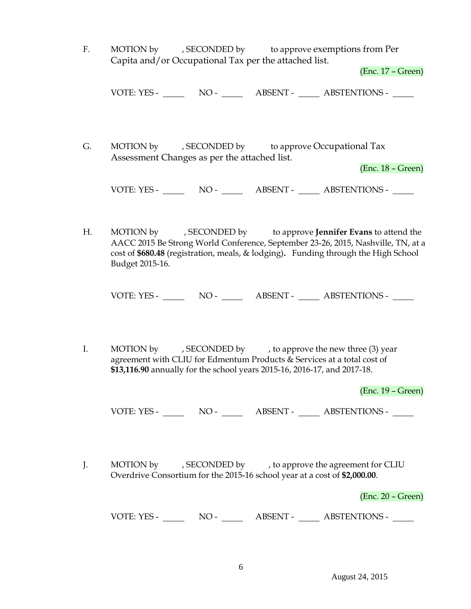F. MOTION by , SECONDED by to approve exemptions from Per Capita and/or Occupational Tax per the attached list.

(Enc. 17 – Green)

VOTE: YES - NO - NO - ABSENT - ABSTENTIONS -

G. MOTION by , SECONDED by to approve Occupational Tax Assessment Changes as per the attached list.

(Enc. 18 – Green)

VOTE: YES - NO - ABSENT - ABSTENTIONS -

H. MOTION by , SECONDED by to approve **Jennifer Evans** to attend the AACC 2015 Be Strong World Conference, September 23-26, 2015, Nashville, TN, at a cost of **\$680.48** (registration, meals, & lodging)**.** Funding through the High School Budget 2015-16.

VOTE: YES - NO - NO - ABSENT - ABSTENTIONS -

I. MOTION by , SECONDED by , to approve the new three (3) year agreement with CLIU for Edmentum Products & Services at a total cost of **\$13,116.90** annually for the school years 2015-16, 2016-17, and 2017-18.

(Enc. 19 – Green)

VOTE: YES - NO - ABSENT - ABSTENTIONS -

J. MOTION by , SECONDED by , to approve the agreement for CLIU Overdrive Consortium for the 2015-16 school year at a cost of **\$2,000.00**.

(Enc. 20 – Green)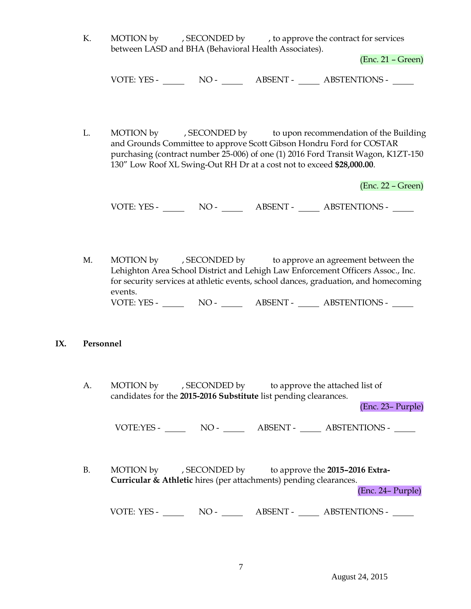K. MOTION by , SECONDED by , to approve the contract for services between LASD and BHA (Behavioral Health Associates).

(Enc. 21 – Green)

VOTE: YES - NO - NO - ABSENT - ABSTENTIONS -

L. MOTION by , SECONDED by to upon recommendation of the Building and Grounds Committee to approve Scott Gibson Hondru Ford for COSTAR purchasing (contract number 25-006) of one (1) 2016 Ford Transit Wagon, K1ZT-150 130" Low Roof XL Swing-Out RH Dr at a cost not to exceed **\$28,000.00**.

(Enc. 22 – Green)

VOTE: YES - NO - ABSENT - ABSTENTIONS -

M. MOTION by , SECONDED by to approve an agreement between the Lehighton Area School District and Lehigh Law Enforcement Officers Assoc., Inc. for security services at athletic events, school dances, graduation, and homecoming events. VOTE: YES - NO - NO - ABSENT - ABSTENTIONS -

## **IX. Personnel**

A. MOTION by , SECONDED by to approve the attached list of candidates for the **2015-2016 Substitute** list pending clearances.

(Enc. 23– Purple)

VOTE:YES - NO - ABSENT - ABSTENTIONS -

B. MOTION by , SECONDED by to approve the **2015–2016 Extra-Curricular & Athletic** hires (per attachments) pending clearances. (Enc. 24– Purple)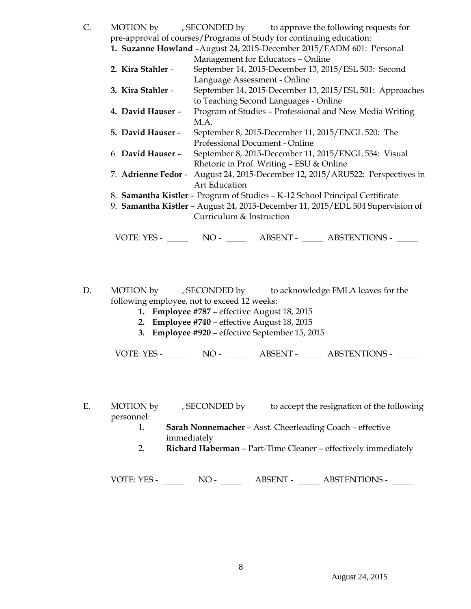| C.                                                                             |                          |                                                                       |  | MOTION by , SECONDED by to approve the following requests for                 |  |  |
|--------------------------------------------------------------------------------|--------------------------|-----------------------------------------------------------------------|--|-------------------------------------------------------------------------------|--|--|
| pre-approval of courses/Programs of Study for continuing education:            |                          |                                                                       |  |                                                                               |  |  |
|                                                                                |                          | 1. Suzanne Howland - August 24, 2015-December 2015/EADM 601: Personal |  |                                                                               |  |  |
|                                                                                |                          | Management for Educators - Online                                     |  |                                                                               |  |  |
|                                                                                | 2. Kira Stahler -        |                                                                       |  | September 14, 2015-December 13, 2015/ESL 503: Second                          |  |  |
|                                                                                |                          | Language Assessment - Online                                          |  |                                                                               |  |  |
|                                                                                | 3. Kira Stahler -        |                                                                       |  | September 14, 2015-December 13, 2015/ESL 501: Approaches                      |  |  |
|                                                                                |                          | to Teaching Second Languages - Online                                 |  |                                                                               |  |  |
|                                                                                | 4. David Hauser -        |                                                                       |  | Program of Studies - Professional and New Media Writing                       |  |  |
|                                                                                |                          | M.A.                                                                  |  |                                                                               |  |  |
|                                                                                | 5. David Hauser -        | September 8, 2015-December 11, 2015/ENGL 520: The                     |  |                                                                               |  |  |
|                                                                                |                          | Professional Document - Online                                        |  |                                                                               |  |  |
|                                                                                | 6. David Hauser -        | September 8, 2015-December 11, 2015/ENGL 534: Visual                  |  |                                                                               |  |  |
|                                                                                |                          | Rhetoric in Prof. Writing - ESU & Online                              |  |                                                                               |  |  |
|                                                                                |                          |                                                                       |  | 7. Adrienne Fedor - August 24, 2015-December 12, 2015/ARU522: Perspectives in |  |  |
|                                                                                |                          | <b>Art Education</b>                                                  |  |                                                                               |  |  |
| 8. Samantha Kistler - Program of Studies - K-12 School Principal Certificate   |                          |                                                                       |  |                                                                               |  |  |
| 9. Samantha Kistler - August 24, 2015-December 11, 2015/EDL 504 Supervision of |                          |                                                                       |  |                                                                               |  |  |
|                                                                                | Curriculum & Instruction |                                                                       |  |                                                                               |  |  |
|                                                                                |                          |                                                                       |  |                                                                               |  |  |
|                                                                                | VOTE: YES -              | $NO-$                                                                 |  | ABSENT - _____ ABSTENTIONS - ___                                              |  |  |

- D. MOTION by , SECONDED by to acknowledge FMLA leaves for the following employee, not to exceed 12 weeks:
	- **1. Employee #787** effective August 18, 2015
	- **2. Employee #740**  effective August 18, 2015
	- **3. Employee #920**  effective September 15, 2015

VOTE: YES - NO - NO - ABSENT - ABSTENTIONS -

E. MOTION by , SECONDED by to accept the resignation of the following personnel:

- 1. **Sarah Nonnemacher** Asst. Cheerleading Coach effective immediately
- 2. **Richard Haberman**  Part-Time Cleaner effectively immediately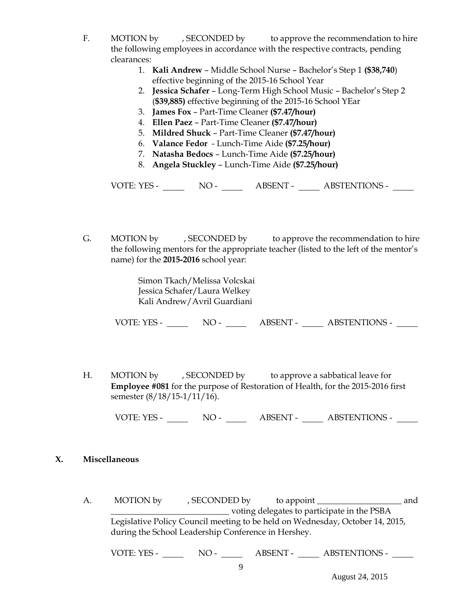- F. MOTION by , SECONDED by to approve the recommendation to hire the following employees in accordance with the respective contracts, pending clearances:
	- 1. **Kali Andrew** Middle School Nurse Bachelor's Step 1 **(\$38,740**) effective beginning of the 2015-16 School Year
	- 2. **Jessica Schafer** Long-Term High School Music Bachelor's Step 2 (**\$39,885)** effective beginning of the 2015-16 School YEar
	- 3. **James Fox**  Part-Time Cleaner **(\$7.47/hour)**
	- 4. **Ellen Paez**  Part-Time Cleaner **(\$7.47/hour)**
	- 5. **Mildred Shuck**  Part-Time Cleaner **(\$7.47/hour)**
	- 6. **Valance Fedor**  Lunch-Time Aide **(\$7.25/hour)**
	- 7. **Natasha Bedocs** Lunch-Time Aide **(\$7.25/hour)**
	- 8. **Angela Stuckley**  Lunch-Time Aide **(\$7.25/hour)**

VOTE: YES - NO - ABSENT - ABSTENTIONS -

G. MOTION by , SECONDED by to approve the recommendation to hire the following mentors for the appropriate teacher (listed to the left of the mentor's name) for the **2015-2016** school year:

> Simon Tkach/Melissa Volcskai Jessica Schafer/Laura Welkey Kali Andrew/Avril Guardiani

VOTE: YES - NO - ABSENT - ABSTENTIONS -

H. MOTION by , SECONDED by to approve a sabbatical leave for **Employee #081** for the purpose of Restoration of Health, for the 2015-2016 first semester (8/18/15-1/11/16).

VOTE: YES - NO - NO - ABSENT - ABSTENTIONS -

## **X. Miscellaneous**

A. MOTION by , SECONDED by to appoint \_\_\_\_\_\_\_\_\_\_\_\_\_\_\_\_\_\_\_\_ and \_\_\_\_\_\_\_\_\_\_\_\_\_\_\_\_\_\_\_\_\_\_\_\_\_\_\_\_ voting delegates to participate in the PSBA Legislative Policy Council meeting to be held on Wednesday, October 14, 2015, during the School Leadership Conference in Hershey.

VOTE: YES - NO - ABSENT - ABSTENTIONS -

August 24, 2015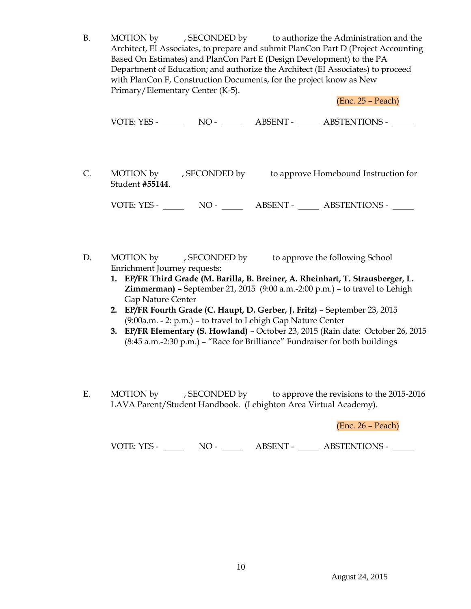B. MOTION by , SECONDED by to authorize the Administration and the Architect, EI Associates, to prepare and submit PlanCon Part D (Project Accounting Based On Estimates) and PlanCon Part E (Design Development) to the PA Department of Education; and authorize the Architect (EI Associates) to proceed with PlanCon F, Construction Documents, for the project know as New Primary/Elementary Center (K-5).

(Enc. 25 – Peach)

VOTE: YES - NO - ABSENT - ABSTENTIONS -

C. MOTION by , SECONDED by to approve Homebound Instruction for Student **#55144**.

VOTE: YES - NO - NO - ABSENT - ABSTENTIONS -

- D. MOTION by , SECONDED by to approve the following School Enrichment Journey requests:
	- **1. EP/FR Third Grade (M. Barilla, B. Breiner, A. Rheinhart, T. Strausberger, L. Zimmerman) –** September 21, 2015 (9:00 a.m.-2:00 p.m.) – to travel to Lehigh Gap Nature Center
	- **2. EP/FR Fourth Grade (C. Haupt, D. Gerber, J. Fritz)**  September 23, 2015 (9:00a.m. - 2: p.m.) – to travel to Lehigh Gap Nature Center
	- **3. EP/FR Elementary (S. Howland)** October 23, 2015 (Rain date: October 26, 2015 (8:45 a.m.-2:30 p.m.) – "Race for Brilliance" Fundraiser for both buildings
- E. MOTION by , SECONDED by to approve the revisions to the 2015-2016 LAVA Parent/Student Handbook. (Lehighton Area Virtual Academy).

(Enc. 26 – Peach)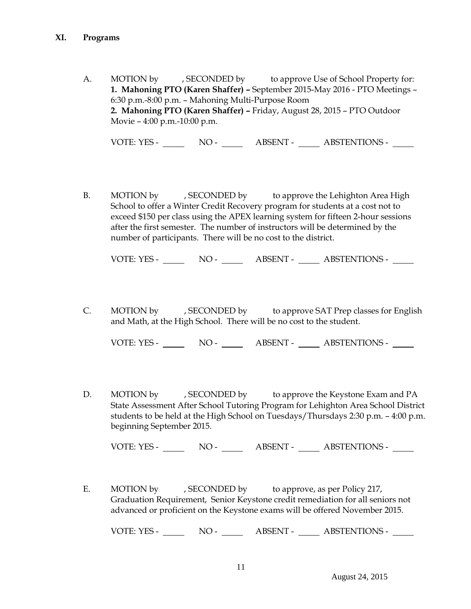A. MOTION by , SECONDED by to approve Use of School Property for: **1. Mahoning PTO (Karen Shaffer) –** September 2015-May 2016 - PTO Meetings – 6:30 p.m.-8:00 p.m. – Mahoning Multi-Purpose Room **2. Mahoning PTO (Karen Shaffer) –** Friday, August 28, 2015 – PTO Outdoor Movie – 4:00 p.m.-10:00 p.m.

VOTE: YES - NO - NO - ABSENT - ABSTENTIONS -

B. MOTION by , SECONDED by to approve the Lehighton Area High School to offer a Winter Credit Recovery program for students at a cost not to exceed \$150 per class using the APEX learning system for fifteen 2-hour sessions after the first semester. The number of instructors will be determined by the number of participants. There will be no cost to the district.

VOTE: YES - NO - ABSENT - ABSTENTIONS -

C. MOTION by , SECONDED by to approve SAT Prep classes for English and Math, at the High School. There will be no cost to the student.

VOTE: YES - NO - ABSENT - ABSTENTIONS -

D. MOTION by , SECONDED by to approve the Keystone Exam and PA State Assessment After School Tutoring Program for Lehighton Area School District students to be held at the High School on Tuesdays/Thursdays 2:30 p.m. – 4:00 p.m. beginning September 2015.

VOTE: YES - NO - NO - ABSENT - ABSTENTIONS -

E. MOTION by , SECONDED by to approve, as per Policy 217, Graduation Requirement, Senior Keystone credit remediation for all seniors not advanced or proficient on the Keystone exams will be offered November 2015.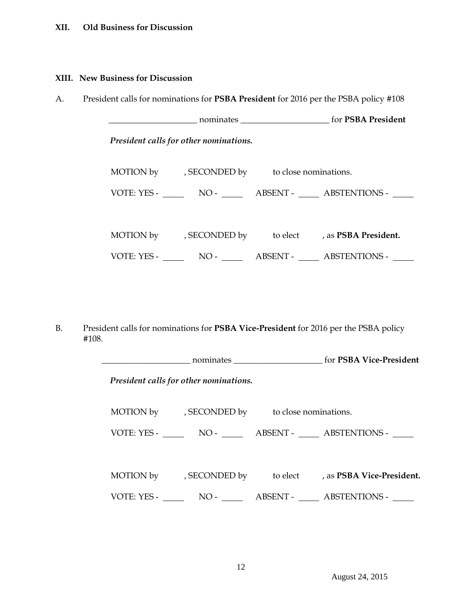## **XII. Old Business for Discussion**

## **XIII. New Business for Discussion**

A. President calls for nominations for **PSBA President** for 2016 per the PSBA policy #108

 \_\_\_\_\_\_\_\_\_\_\_\_\_\_\_\_\_\_\_\_\_ nominates \_\_\_\_\_\_\_\_\_\_\_\_\_\_\_\_\_\_\_\_\_ for **PSBA President**  *President calls for other nominations.* MOTION by , SECONDED by to close nominations. VOTE: YES - NO - NO - ABSENT - ABSTENTIONS -MOTION by , SECONDED by to elect , as **PSBA President.** VOTE: YES - NO - NO - ABSENT - ABSTENTIONS - NO

B. President calls for nominations for **PSBA Vice-President** for 2016 per the PSBA policy #108.

| President calls for other nominations.        |                                                                   |
|-----------------------------------------------|-------------------------------------------------------------------|
| MOTION by , SECONDED by to close nominations. |                                                                   |
|                                               |                                                                   |
|                                               |                                                                   |
|                                               | MOTION by , SECONDED by to elect , as <b>PSBA Vice-President.</b> |
|                                               | VOTE: YES - NO - ABSENT - ABSTENTIONS -                           |